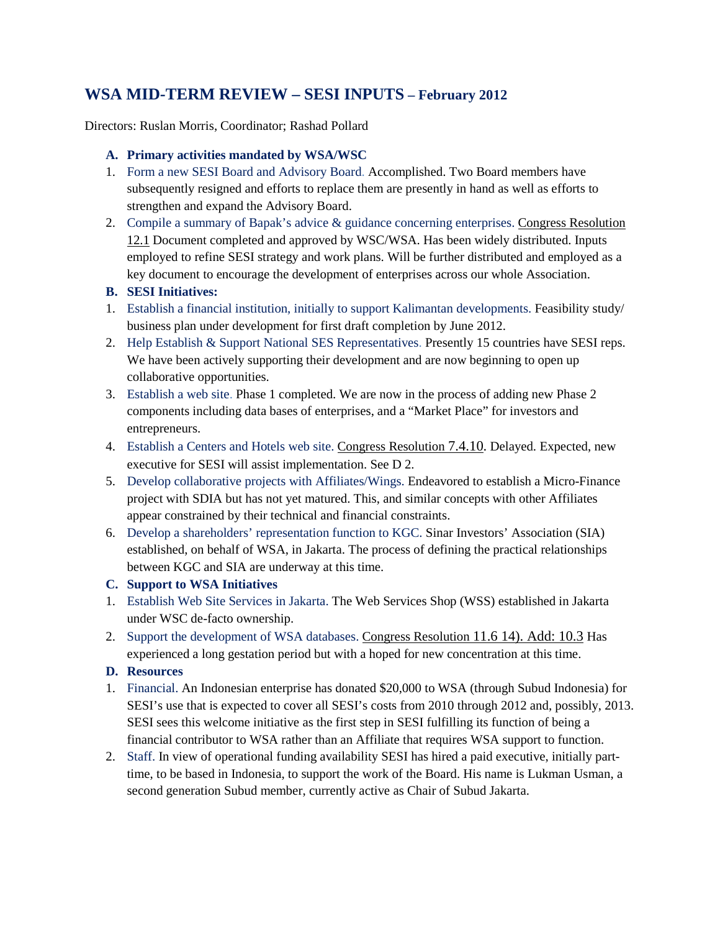# **WSA MID-TERM REVIEW – SESI INPUTS – February 2012**

Directors: Ruslan Morris, Coordinator; Rashad Pollard

### **A. Primary activities mandated by WSA/WSC**

- 1. Form a new SESI Board and Advisory Board. Accomplished. Two Board members have subsequently resigned and efforts to replace them are presently in hand as well as efforts to strengthen and expand the Advisory Board.
- 2. Compile a summary of Bapak's advice & guidance concerning enterprises. Congress Resolution 12.1 Document completed and approved by WSC/WSA. Has been widely distributed. Inputs employed to refine SESI strategy and work plans. Will be further distributed and employed as a key document to encourage the development of enterprises across our whole Association.

## **B. SESI Initiatives:**

- 1. Establish a financial institution, initially to support Kalimantan developments. Feasibility study/ business plan under development for first draft completion by June 2012.
- 2. Help Establish & Support National SES Representatives. Presently 15 countries have SESI reps. We have been actively supporting their development and are now beginning to open up collaborative opportunities.
- 3. Establish a web site. Phase 1 completed. We are now in the process of adding new Phase 2 components including data bases of enterprises, and a "Market Place" for investors and entrepreneurs.
- 4. Establish a Centers and Hotels web site. Congress Resolution 7.4.10. Delayed. Expected, new executive for SESI will assist implementation. See D 2.
- 5. Develop collaborative projects with Affiliates/Wings. Endeavored to establish a Micro-Finance project with SDIA but has not yet matured. This, and similar concepts with other Affiliates appear constrained by their technical and financial constraints.
- 6. Develop a shareholders' representation function to KGC. Sinar Investors' Association (SIA) established, on behalf of WSA, in Jakarta. The process of defining the practical relationships between KGC and SIA are underway at this time.

#### **C. Support to WSA Initiatives**

- 1. Establish Web Site Services in Jakarta. The Web Services Shop (WSS) established in Jakarta under WSC de-facto ownership.
- 2. Support the development of WSA databases. Congress Resolution 11.6 14). Add: 10.3 Has experienced a long gestation period but with a hoped for new concentration at this time.

## **D. Resources**

- 1. Financial. An Indonesian enterprise has donated \$20,000 to WSA (through Subud Indonesia) for SESI's use that is expected to cover all SESI's costs from 2010 through 2012 and, possibly, 2013. SESI sees this welcome initiative as the first step in SESI fulfilling its function of being a financial contributor to WSA rather than an Affiliate that requires WSA support to function.
- 2. Staff. In view of operational funding availability SESI has hired a paid executive, initially parttime, to be based in Indonesia, to support the work of the Board. His name is Lukman Usman, a second generation Subud member, currently active as Chair of Subud Jakarta.